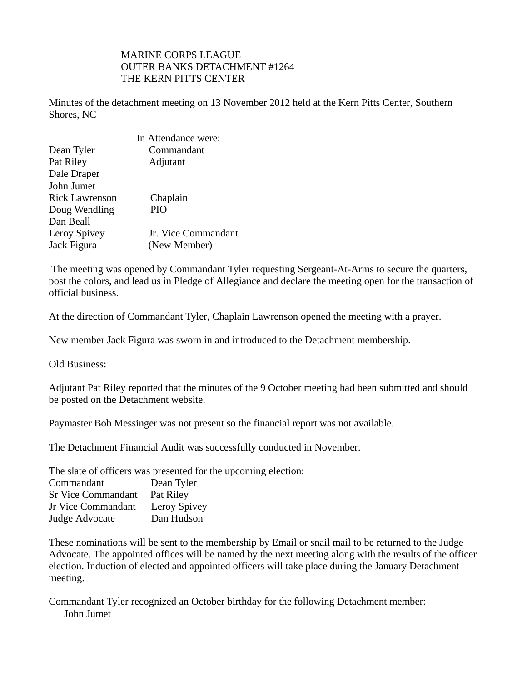## MARINE CORPS LEAGUE OUTER BANKS DETACHMENT #1264 THE KERN PITTS CENTER

Minutes of the detachment meeting on 13 November 2012 held at the Kern Pitts Center, Southern Shores, NC

|                       | In Attendance were: |
|-----------------------|---------------------|
| Dean Tyler            | Commandant          |
| Pat Riley             | Adjutant            |
| Dale Draper           |                     |
| John Jumet            |                     |
| <b>Rick Lawrenson</b> | Chaplain            |
| Doug Wendling         | PIO                 |
| Dan Beall             |                     |
| Leroy Spivey          | Jr. Vice Commandant |
| Jack Figura           | (New Member)        |

 The meeting was opened by Commandant Tyler requesting Sergeant-At-Arms to secure the quarters, post the colors, and lead us in Pledge of Allegiance and declare the meeting open for the transaction of official business.

At the direction of Commandant Tyler, Chaplain Lawrenson opened the meeting with a prayer.

New member Jack Figura was sworn in and introduced to the Detachment membership.

Old Business:

Adjutant Pat Riley reported that the minutes of the 9 October meeting had been submitted and should be posted on the Detachment website.

Paymaster Bob Messinger was not present so the financial report was not available.

The Detachment Financial Audit was successfully conducted in November.

The slate of officers was presented for the upcoming election:

| Commandant                | Dean Tyler   |
|---------------------------|--------------|
| <b>Sr Vice Commandant</b> | Pat Riley    |
| Jr Vice Commandant        | Leroy Spivey |
| Judge Advocate            | Dan Hudson   |

These nominations will be sent to the membership by Email or snail mail to be returned to the Judge Advocate. The appointed offices will be named by the next meeting along with the results of the officer election. Induction of elected and appointed officers will take place during the January Detachment meeting.

Commandant Tyler recognized an October birthday for the following Detachment member: John Jumet